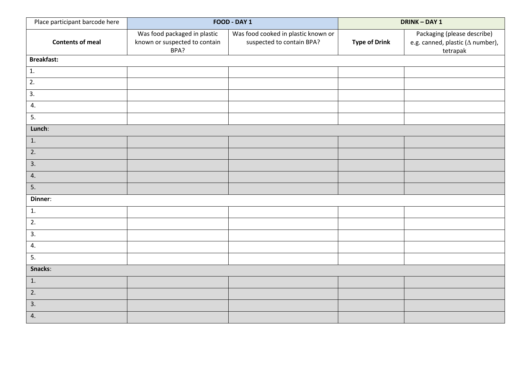| Place participant barcode here |                                                                       | FOOD - DAY 1                                                     | DRINK - DAY 1        |                                                                                     |  |
|--------------------------------|-----------------------------------------------------------------------|------------------------------------------------------------------|----------------------|-------------------------------------------------------------------------------------|--|
| <b>Contents of meal</b>        | Was food packaged in plastic<br>known or suspected to contain<br>BPA? | Was food cooked in plastic known or<br>suspected to contain BPA? | <b>Type of Drink</b> | Packaging (please describe)<br>e.g. canned, plastic ( $\Delta$ number),<br>tetrapak |  |
| <b>Breakfast:</b>              |                                                                       |                                                                  |                      |                                                                                     |  |
| 1.                             |                                                                       |                                                                  |                      |                                                                                     |  |
| $\overline{2}$ .               |                                                                       |                                                                  |                      |                                                                                     |  |
| $\overline{3}$ .               |                                                                       |                                                                  |                      |                                                                                     |  |
| 4.                             |                                                                       |                                                                  |                      |                                                                                     |  |
| 5.                             |                                                                       |                                                                  |                      |                                                                                     |  |
| Lunch:                         |                                                                       |                                                                  |                      |                                                                                     |  |
| $\boxed{1}$ .                  |                                                                       |                                                                  |                      |                                                                                     |  |
| 2.                             |                                                                       |                                                                  |                      |                                                                                     |  |
| 3.                             |                                                                       |                                                                  |                      |                                                                                     |  |
| 4.                             |                                                                       |                                                                  |                      |                                                                                     |  |
| 5.                             |                                                                       |                                                                  |                      |                                                                                     |  |
| Dinner:                        |                                                                       |                                                                  |                      |                                                                                     |  |
| 1.                             |                                                                       |                                                                  |                      |                                                                                     |  |
| 2.                             |                                                                       |                                                                  |                      |                                                                                     |  |
| 3.                             |                                                                       |                                                                  |                      |                                                                                     |  |
| 4.                             |                                                                       |                                                                  |                      |                                                                                     |  |
| 5.                             |                                                                       |                                                                  |                      |                                                                                     |  |
| Snacks:                        |                                                                       |                                                                  |                      |                                                                                     |  |
| 1.                             |                                                                       |                                                                  |                      |                                                                                     |  |
| 2.                             |                                                                       |                                                                  |                      |                                                                                     |  |
| 3.                             |                                                                       |                                                                  |                      |                                                                                     |  |
| 4.                             |                                                                       |                                                                  |                      |                                                                                     |  |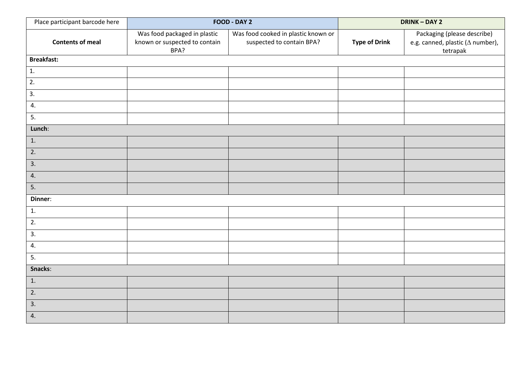| Place participant barcode here |                                                                       | FOOD - DAY 2                                                     | <b>DRINK-DAY 2</b>   |                                                                                     |  |
|--------------------------------|-----------------------------------------------------------------------|------------------------------------------------------------------|----------------------|-------------------------------------------------------------------------------------|--|
| <b>Contents of meal</b>        | Was food packaged in plastic<br>known or suspected to contain<br>BPA? | Was food cooked in plastic known or<br>suspected to contain BPA? | <b>Type of Drink</b> | Packaging (please describe)<br>e.g. canned, plastic ( $\Delta$ number),<br>tetrapak |  |
| <b>Breakfast:</b>              |                                                                       |                                                                  |                      |                                                                                     |  |
| $\mathbf{1}$ .                 |                                                                       |                                                                  |                      |                                                                                     |  |
| $\overline{2}$ .               |                                                                       |                                                                  |                      |                                                                                     |  |
| $\overline{3}$ .               |                                                                       |                                                                  |                      |                                                                                     |  |
| 4.                             |                                                                       |                                                                  |                      |                                                                                     |  |
| 5.                             |                                                                       |                                                                  |                      |                                                                                     |  |
| Lunch:                         |                                                                       |                                                                  |                      |                                                                                     |  |
| 1.                             |                                                                       |                                                                  |                      |                                                                                     |  |
| 2.                             |                                                                       |                                                                  |                      |                                                                                     |  |
| 3.                             |                                                                       |                                                                  |                      |                                                                                     |  |
| 4.                             |                                                                       |                                                                  |                      |                                                                                     |  |
| 5.                             |                                                                       |                                                                  |                      |                                                                                     |  |
| Dinner:                        |                                                                       |                                                                  |                      |                                                                                     |  |
| 1.                             |                                                                       |                                                                  |                      |                                                                                     |  |
| 2.                             |                                                                       |                                                                  |                      |                                                                                     |  |
| 3.                             |                                                                       |                                                                  |                      |                                                                                     |  |
| 4.                             |                                                                       |                                                                  |                      |                                                                                     |  |
| 5.                             |                                                                       |                                                                  |                      |                                                                                     |  |
| Snacks:                        |                                                                       |                                                                  |                      |                                                                                     |  |
| 1.                             |                                                                       |                                                                  |                      |                                                                                     |  |
| 2.                             |                                                                       |                                                                  |                      |                                                                                     |  |
| 3.                             |                                                                       |                                                                  |                      |                                                                                     |  |
| 4.                             |                                                                       |                                                                  |                      |                                                                                     |  |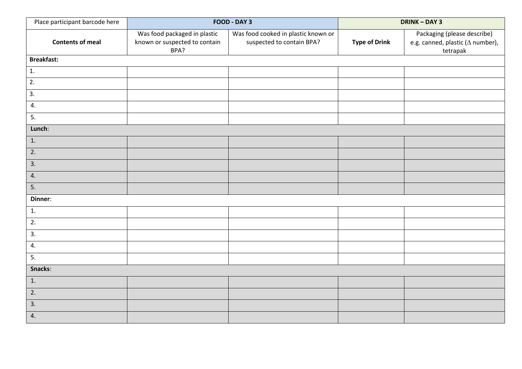| Place participant barcode here |                                                                       | FOOD - DAY 3                                                     | DRINK - DAY 3        |                                                                                     |  |
|--------------------------------|-----------------------------------------------------------------------|------------------------------------------------------------------|----------------------|-------------------------------------------------------------------------------------|--|
| <b>Contents of meal</b>        | Was food packaged in plastic<br>known or suspected to contain<br>BPA? | Was food cooked in plastic known or<br>suspected to contain BPA? | <b>Type of Drink</b> | Packaging (please describe)<br>e.g. canned, plastic ( $\Delta$ number),<br>tetrapak |  |
| <b>Breakfast:</b>              |                                                                       |                                                                  |                      |                                                                                     |  |
| 1.                             |                                                                       |                                                                  |                      |                                                                                     |  |
| $\overline{2}$ .               |                                                                       |                                                                  |                      |                                                                                     |  |
| $\overline{3}$ .               |                                                                       |                                                                  |                      |                                                                                     |  |
| 4.                             |                                                                       |                                                                  |                      |                                                                                     |  |
| 5.                             |                                                                       |                                                                  |                      |                                                                                     |  |
| Lunch:                         |                                                                       |                                                                  |                      |                                                                                     |  |
| $\boxed{1}$ .                  |                                                                       |                                                                  |                      |                                                                                     |  |
| $\overline{2}$ .               |                                                                       |                                                                  |                      |                                                                                     |  |
| 3.                             |                                                                       |                                                                  |                      |                                                                                     |  |
| 4.                             |                                                                       |                                                                  |                      |                                                                                     |  |
| 5.                             |                                                                       |                                                                  |                      |                                                                                     |  |
| Dinner:                        |                                                                       |                                                                  |                      |                                                                                     |  |
| 1.                             |                                                                       |                                                                  |                      |                                                                                     |  |
| 2.                             |                                                                       |                                                                  |                      |                                                                                     |  |
| 3.                             |                                                                       |                                                                  |                      |                                                                                     |  |
| 4.                             |                                                                       |                                                                  |                      |                                                                                     |  |
| 5.                             |                                                                       |                                                                  |                      |                                                                                     |  |
| Snacks:                        |                                                                       |                                                                  |                      |                                                                                     |  |
| 1.                             |                                                                       |                                                                  |                      |                                                                                     |  |
| 2.                             |                                                                       |                                                                  |                      |                                                                                     |  |
| 3.                             |                                                                       |                                                                  |                      |                                                                                     |  |
| 4.                             |                                                                       |                                                                  |                      |                                                                                     |  |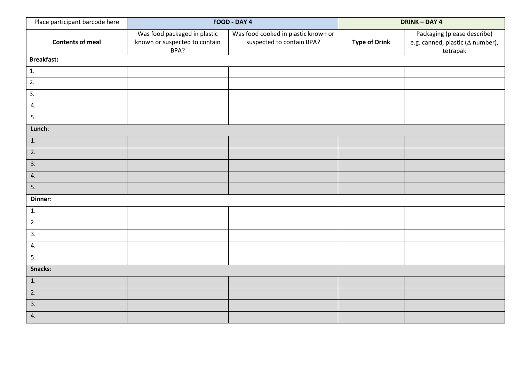| Place participant barcode here |                                                                       | FOOD - DAY 4                                                     | <b>DRINK-DAY 4</b>   |                                                                                     |  |  |
|--------------------------------|-----------------------------------------------------------------------|------------------------------------------------------------------|----------------------|-------------------------------------------------------------------------------------|--|--|
| <b>Contents of meal</b>        | Was food packaged in plastic<br>known or suspected to contain<br>BPA? | Was food cooked in plastic known or<br>suspected to contain BPA? | <b>Type of Drink</b> | Packaging (please describe)<br>e.g. canned, plastic ( $\Delta$ number),<br>tetrapak |  |  |
| <b>Breakfast:</b>              |                                                                       |                                                                  |                      |                                                                                     |  |  |
| $\mathbf{1}$ .                 |                                                                       |                                                                  |                      |                                                                                     |  |  |
| $\overline{2}$ .               |                                                                       |                                                                  |                      |                                                                                     |  |  |
| $\overline{3}$ .               |                                                                       |                                                                  |                      |                                                                                     |  |  |
| 4.                             |                                                                       |                                                                  |                      |                                                                                     |  |  |
| 5.                             |                                                                       |                                                                  |                      |                                                                                     |  |  |
| Lunch:                         |                                                                       |                                                                  |                      |                                                                                     |  |  |
| 1.                             |                                                                       |                                                                  |                      |                                                                                     |  |  |
| 2.                             |                                                                       |                                                                  |                      |                                                                                     |  |  |
| 3.                             |                                                                       |                                                                  |                      |                                                                                     |  |  |
| 4.                             |                                                                       |                                                                  |                      |                                                                                     |  |  |
| 5.                             |                                                                       |                                                                  |                      |                                                                                     |  |  |
| Dinner:                        |                                                                       |                                                                  |                      |                                                                                     |  |  |
| 1.                             |                                                                       |                                                                  |                      |                                                                                     |  |  |
| 2.                             |                                                                       |                                                                  |                      |                                                                                     |  |  |
| 3.                             |                                                                       |                                                                  |                      |                                                                                     |  |  |
| 4.                             |                                                                       |                                                                  |                      |                                                                                     |  |  |
| 5.                             |                                                                       |                                                                  |                      |                                                                                     |  |  |
| Snacks:                        |                                                                       |                                                                  |                      |                                                                                     |  |  |
| 1.                             |                                                                       |                                                                  |                      |                                                                                     |  |  |
| 2.                             |                                                                       |                                                                  |                      |                                                                                     |  |  |
| 3.                             |                                                                       |                                                                  |                      |                                                                                     |  |  |
| 4.                             |                                                                       |                                                                  |                      |                                                                                     |  |  |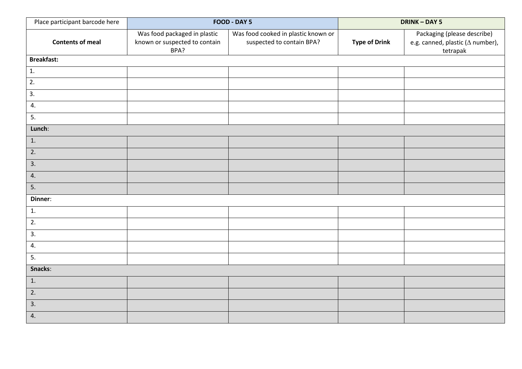| Place participant barcode here |                                                                       | FOOD - DAY 5                                                     | <b>DRINK-DAY 5</b>   |                                                                                     |  |
|--------------------------------|-----------------------------------------------------------------------|------------------------------------------------------------------|----------------------|-------------------------------------------------------------------------------------|--|
| <b>Contents of meal</b>        | Was food packaged in plastic<br>known or suspected to contain<br>BPA? | Was food cooked in plastic known or<br>suspected to contain BPA? | <b>Type of Drink</b> | Packaging (please describe)<br>e.g. canned, plastic ( $\Delta$ number),<br>tetrapak |  |
| <b>Breakfast:</b>              |                                                                       |                                                                  |                      |                                                                                     |  |
| 1.                             |                                                                       |                                                                  |                      |                                                                                     |  |
| $\overline{2}$ .               |                                                                       |                                                                  |                      |                                                                                     |  |
| $\overline{3}$ .               |                                                                       |                                                                  |                      |                                                                                     |  |
| 4.                             |                                                                       |                                                                  |                      |                                                                                     |  |
| 5.                             |                                                                       |                                                                  |                      |                                                                                     |  |
| Lunch:                         |                                                                       |                                                                  |                      |                                                                                     |  |
| $\boxed{1}$ .                  |                                                                       |                                                                  |                      |                                                                                     |  |
| $\overline{2}$ .               |                                                                       |                                                                  |                      |                                                                                     |  |
| 3.                             |                                                                       |                                                                  |                      |                                                                                     |  |
| 4.                             |                                                                       |                                                                  |                      |                                                                                     |  |
| 5.                             |                                                                       |                                                                  |                      |                                                                                     |  |
| Dinner:                        |                                                                       |                                                                  |                      |                                                                                     |  |
| 1.                             |                                                                       |                                                                  |                      |                                                                                     |  |
| 2.                             |                                                                       |                                                                  |                      |                                                                                     |  |
| 3.                             |                                                                       |                                                                  |                      |                                                                                     |  |
| 4.                             |                                                                       |                                                                  |                      |                                                                                     |  |
| 5.                             |                                                                       |                                                                  |                      |                                                                                     |  |
| Snacks:                        |                                                                       |                                                                  |                      |                                                                                     |  |
| 1.                             |                                                                       |                                                                  |                      |                                                                                     |  |
| 2.                             |                                                                       |                                                                  |                      |                                                                                     |  |
| 3.                             |                                                                       |                                                                  |                      |                                                                                     |  |
| 4.                             |                                                                       |                                                                  |                      |                                                                                     |  |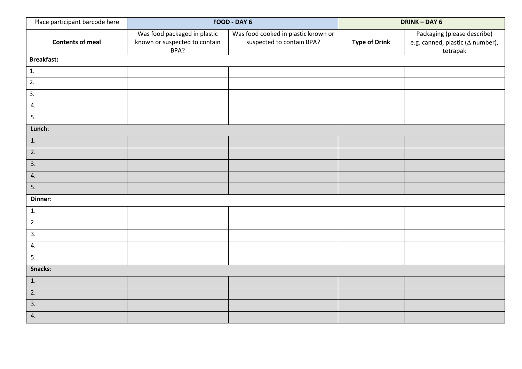| Place participant barcode here |                                                                       | FOOD - DAY 6                                                     | DRINK - DAY 6        |                                                                                     |  |
|--------------------------------|-----------------------------------------------------------------------|------------------------------------------------------------------|----------------------|-------------------------------------------------------------------------------------|--|
| <b>Contents of meal</b>        | Was food packaged in plastic<br>known or suspected to contain<br>BPA? | Was food cooked in plastic known or<br>suspected to contain BPA? | <b>Type of Drink</b> | Packaging (please describe)<br>e.g. canned, plastic ( $\Delta$ number),<br>tetrapak |  |
| <b>Breakfast:</b>              |                                                                       |                                                                  |                      |                                                                                     |  |
| 1.                             |                                                                       |                                                                  |                      |                                                                                     |  |
| $\overline{2}$ .               |                                                                       |                                                                  |                      |                                                                                     |  |
| $\overline{3}$ .               |                                                                       |                                                                  |                      |                                                                                     |  |
| 4.                             |                                                                       |                                                                  |                      |                                                                                     |  |
| 5.                             |                                                                       |                                                                  |                      |                                                                                     |  |
| Lunch:                         |                                                                       |                                                                  |                      |                                                                                     |  |
| $\boxed{1}$ .                  |                                                                       |                                                                  |                      |                                                                                     |  |
| $\overline{2}$ .               |                                                                       |                                                                  |                      |                                                                                     |  |
| 3.                             |                                                                       |                                                                  |                      |                                                                                     |  |
| 4.                             |                                                                       |                                                                  |                      |                                                                                     |  |
| 5.                             |                                                                       |                                                                  |                      |                                                                                     |  |
| Dinner:                        |                                                                       |                                                                  |                      |                                                                                     |  |
| 1.                             |                                                                       |                                                                  |                      |                                                                                     |  |
| 2.                             |                                                                       |                                                                  |                      |                                                                                     |  |
| 3.                             |                                                                       |                                                                  |                      |                                                                                     |  |
| 4.                             |                                                                       |                                                                  |                      |                                                                                     |  |
| 5.                             |                                                                       |                                                                  |                      |                                                                                     |  |
| Snacks:                        |                                                                       |                                                                  |                      |                                                                                     |  |
| 1.                             |                                                                       |                                                                  |                      |                                                                                     |  |
| 2.                             |                                                                       |                                                                  |                      |                                                                                     |  |
| 3.                             |                                                                       |                                                                  |                      |                                                                                     |  |
| 4.                             |                                                                       |                                                                  |                      |                                                                                     |  |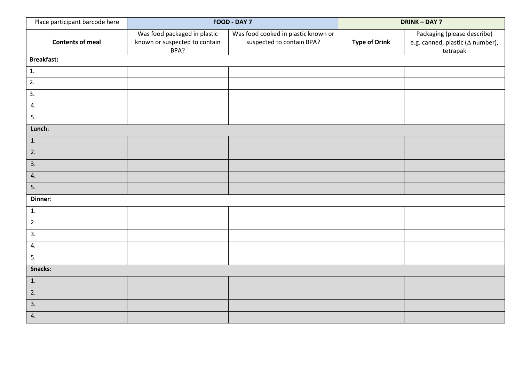| Place participant barcode here |                                                                       | FOOD - DAY 7                                                     | <b>DRINK-DAY 7</b>   |                                                                                     |  |
|--------------------------------|-----------------------------------------------------------------------|------------------------------------------------------------------|----------------------|-------------------------------------------------------------------------------------|--|
| <b>Contents of meal</b>        | Was food packaged in plastic<br>known or suspected to contain<br>BPA? | Was food cooked in plastic known or<br>suspected to contain BPA? | <b>Type of Drink</b> | Packaging (please describe)<br>e.g. canned, plastic ( $\Delta$ number),<br>tetrapak |  |
| <b>Breakfast:</b>              |                                                                       |                                                                  |                      |                                                                                     |  |
| 1.                             |                                                                       |                                                                  |                      |                                                                                     |  |
| $\overline{2}$ .               |                                                                       |                                                                  |                      |                                                                                     |  |
| $\overline{3}$ .               |                                                                       |                                                                  |                      |                                                                                     |  |
| 4.                             |                                                                       |                                                                  |                      |                                                                                     |  |
| 5.                             |                                                                       |                                                                  |                      |                                                                                     |  |
| Lunch:                         |                                                                       |                                                                  |                      |                                                                                     |  |
| $\boxed{1}$ .                  |                                                                       |                                                                  |                      |                                                                                     |  |
| $\overline{2}$ .               |                                                                       |                                                                  |                      |                                                                                     |  |
| 3.                             |                                                                       |                                                                  |                      |                                                                                     |  |
| 4.                             |                                                                       |                                                                  |                      |                                                                                     |  |
| 5.                             |                                                                       |                                                                  |                      |                                                                                     |  |
| Dinner:                        |                                                                       |                                                                  |                      |                                                                                     |  |
| 1.                             |                                                                       |                                                                  |                      |                                                                                     |  |
| 2.                             |                                                                       |                                                                  |                      |                                                                                     |  |
| 3.                             |                                                                       |                                                                  |                      |                                                                                     |  |
| 4.                             |                                                                       |                                                                  |                      |                                                                                     |  |
| 5.                             |                                                                       |                                                                  |                      |                                                                                     |  |
| Snacks:                        |                                                                       |                                                                  |                      |                                                                                     |  |
| 1.                             |                                                                       |                                                                  |                      |                                                                                     |  |
| 2.                             |                                                                       |                                                                  |                      |                                                                                     |  |
| 3.                             |                                                                       |                                                                  |                      |                                                                                     |  |
| 4.                             |                                                                       |                                                                  |                      |                                                                                     |  |